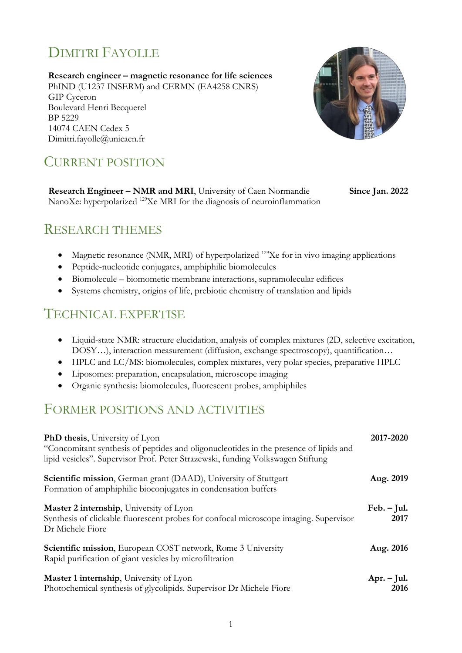# DIMITRI FAYOLLE

**Research engineer – magnetic resonance for life sciences** PhIND (U1237 INSERM) and CERMN (EA4258 CNRS) GIP Cyceron Boulevard Henri Becquerel BP 5229 14074 CAEN Cedex 5 Dimitri.fayolle@unicaen.fr



## CURRENT POSITION

**Research Engineer – NMR and MRI**, University of Caen Normandie NanoXe: hyperpolarized <sup>129</sup>Xe MRI for the diagnosis of neuroinflammation **Since Jan. 2022**

## RESEARCH THEMES

- Magnetic resonance (NMR, MRI) of hyperpolarized  $^{129}Xe$  for in vivo imaging applications
- Peptide-nucleotide conjugates, amphiphilic biomolecules
- Biomolecule biomometic membrane interactions, supramolecular edifices
- Systems chemistry, origins of life, prebiotic chemistry of translation and lipids

## TECHNICAL EXPERTISE

- Liquid-state NMR: structure elucidation, analysis of complex mixtures (2D, selective excitation, DOSY…), interaction measurement (diffusion, exchange spectroscopy), quantification…
- HPLC and LC/MS: biomolecules, complex mixtures, very polar species, preparative HPLC
- Liposomes: preparation, encapsulation, microscope imaging
- Organic synthesis: biomolecules, fluorescent probes, amphiphiles

### FORMER POSITIONS AND ACTIVITIES

| <b>PhD thesis, University of Lyon</b><br>"Concomitant synthesis of peptides and oligonucleotides in the presence of lipids and<br>lipid vesicles". Supervisor Prof. Peter Strazewski, funding Volkswagen Stiftung | 2017-2020             |
|-------------------------------------------------------------------------------------------------------------------------------------------------------------------------------------------------------------------|-----------------------|
| <b>Scientific mission, German grant (DAAD), University of Stuttgart</b><br>Formation of amphiphilic bioconjugates in condensation buffers                                                                         | Aug. 2019             |
| Master 2 internship, University of Lyon<br>Synthesis of clickable fluorescent probes for confocal microscope imaging. Supervisor<br>Dr Michele Fiore                                                              | $Feb. - Jul.$<br>2017 |
| Scientific mission, European COST network, Rome 3 University<br>Rapid purification of giant vesicles by microfiltration                                                                                           | Aug. 2016             |
| Master 1 internship, University of Lyon<br>Photochemical synthesis of glycolipids. Supervisor Dr Michele Fiore                                                                                                    | $Apr. - Jul.$<br>2016 |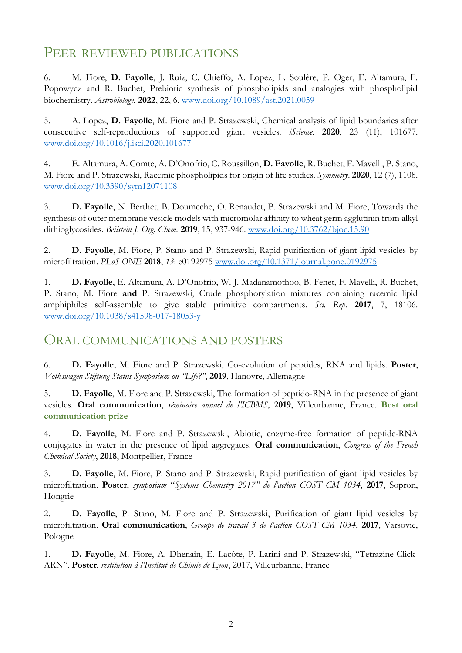## PEER-REVIEWED PUBLICATIONS

6. M. Fiore, **D. Fayolle**, J. Ruiz, C. Chieffo, A. Lopez, L. Soulère, P. Oger, E. Altamura, F. Popowycz and R. Buchet, Prebiotic synthesis of phospholipids and analogies with phospholipid biochemistry. *Astrobiology.* **2022**, 22, 6. [www.doi.org/10.1089/ast.2021.0059](http://www.doi.org/10.1089/ast.2021.0059)

5. A. Lopez, **D. Fayolle**, M. Fiore and P. Strazewski, Chemical analysis of lipid boundaries after consecutive self-reproductions of supported giant vesicles. *iScience*. **2020**, 23 (11), 101677. [www.doi.org/10.1016/j.isci.2020.101677](http://www.doi.org/10.1016/j.isci.2020.101677)

4. E. Altamura, A. Comte, A. D'Onofrio, C. Roussillon, **D. Fayolle**, R. Buchet, F. Mavelli, P. Stano, M. Fiore and P. Strazewski, Racemic phospholipids for origin of life studies. *Symmetry*. **2020**, 12 (7), 1108. [www.doi.org/10.3390/sym12071108](http://www.doi.org/10.3390/sym12071108)

3. **D. Fayolle**, N. Berthet, B. Doumeche, O. Renaudet, P. Strazewski and M. Fiore, Towards the synthesis of outer membrane vesicle models with micromolar affinity to wheat germ agglutinin from alkyl dithioglycosides. *Beilstein J. Org. Chem.* **2019**, 15, 937-946. [www.doi.org/10.3762/bjoc.15.90](http://www.doi.org/10.3762/bjoc.15.90)

2. **D. Fayolle**, M. Fiore, P. Stano and P. Strazewski, Rapid purification of giant lipid vesicles by microfiltration. *PLoS ONE* **2018**, *13*: e0192975 [www.doi.org/10.1371/journal.pone.0192975](http://www.doi.org/10.1371/journal.pone.0192975)

1. **D. Fayolle**, E. Altamura, A. D'Onofrio, W. J. Madanamothoo, B. Fenet, F. Mavelli, R. Buchet, P. Stano, M. Fiore **and** P. Strazewski, Crude phosphorylation mixtures containing racemic lipid amphiphiles self-assemble to give stable primitive compartments. *Sci. Rep.* **2017**, 7, 18106. [www.doi.org/10.1038/s41598-017-18053-y](http://www.doi.org/10.1038/s41598-017-18053-y)

#### ORAL COMMUNICATIONS AND POSTERS

6. **D. Fayolle**, M. Fiore and P. Strazewski, Co-evolution of peptides, RNA and lipids. **Poster**, *Volkswagen Stiftung Status Symposium on "Life?"*, **2019**, Hanovre, Allemagne

5. **D. Fayolle**, M. Fiore and P. Strazewski, The formation of peptido-RNA in the presence of giant vesicles. **Oral communication**, *séminaire annuel de l'ICBMS*, **2019**, Villeurbanne, France. **Best oral communication prize**

4. **D. Fayolle**, M. Fiore and P. Strazewski, Abiotic, enzyme-free formation of peptide-RNA conjugates in water in the presence of lipid aggregates. **Oral communication**, *Congress of the French Chemical Society*, **2018**, Montpellier, France

3. **D. Fayolle**, M. Fiore, P. Stano and P. Strazewski, Rapid purification of giant lipid vesicles by microfiltration. **Poster**, *symposium* "*Systems Chemistry 2017" de l'action COST CM 1034*, **2017**, Sopron, Hongrie

2. **D. Fayolle**, P. Stano, M. Fiore and P. Strazewski, Purification of giant lipid vesicles by microfiltration. **Oral communication**, *Groupe de travail 3 de l'action COST CM 1034*, **2017**, Varsovie, Pologne

1. **D. Fayolle**, M. Fiore, A. Dhenain, E. Lacôte, P. Larini and P. Strazewski, "Tetrazine-Click-ARN". **Poster**, *restitution à l'Institut de Chimie de Lyon*, 2017, Villeurbanne, France